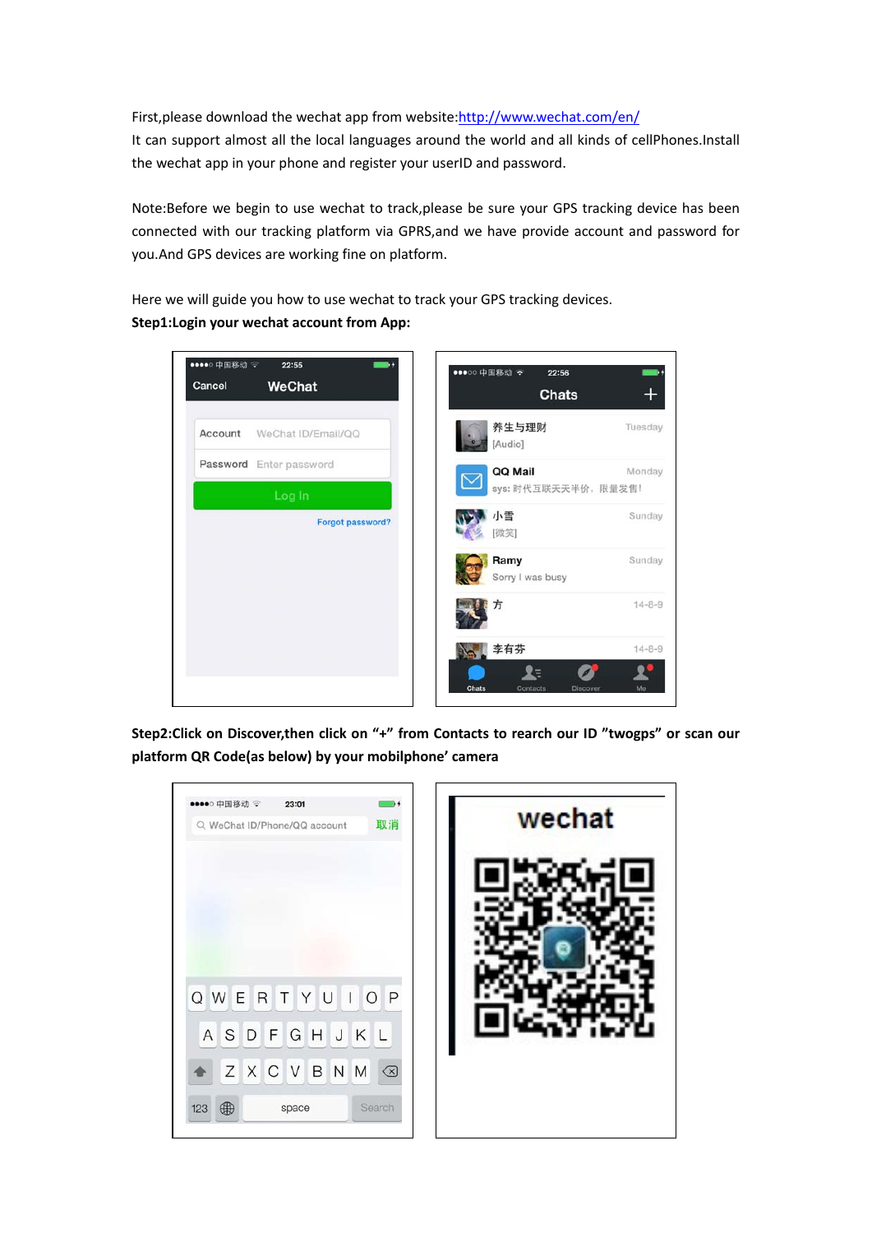First, please download the wechat app from website: http://www.wechat.com/en/

It can support almost all the local languages around the world and all kinds of cellPhones.Install the wechat app in your phone and register your userID and password.

Note:Before we begin to use wechat to track,please be sure your GPS tracking device has been connected with our tracking platform via GPRS,and we have provide account and password for you.And GPS devices are working fine on platform.

Here we will guide you how to use wechat to track your GPS tracking devices. **Step1:Login your wechat account from App:**



**Step2:Click on Discover,then click on "+" from Contacts to rearch our ID "twogps" or scan our platform QR Code(as below) by your mobilphone' camera**

| ●●●●○ 中国移动 →<br>23:01        |    | wechat |
|------------------------------|----|--------|
| Q WeChat ID/Phone/QQ account | 取消 |        |
| QWERTYUI                     | OP |        |
|                              |    |        |
| ASDFGHJKL                    |    |        |
| ZXCVBNM                      | ⊗  |        |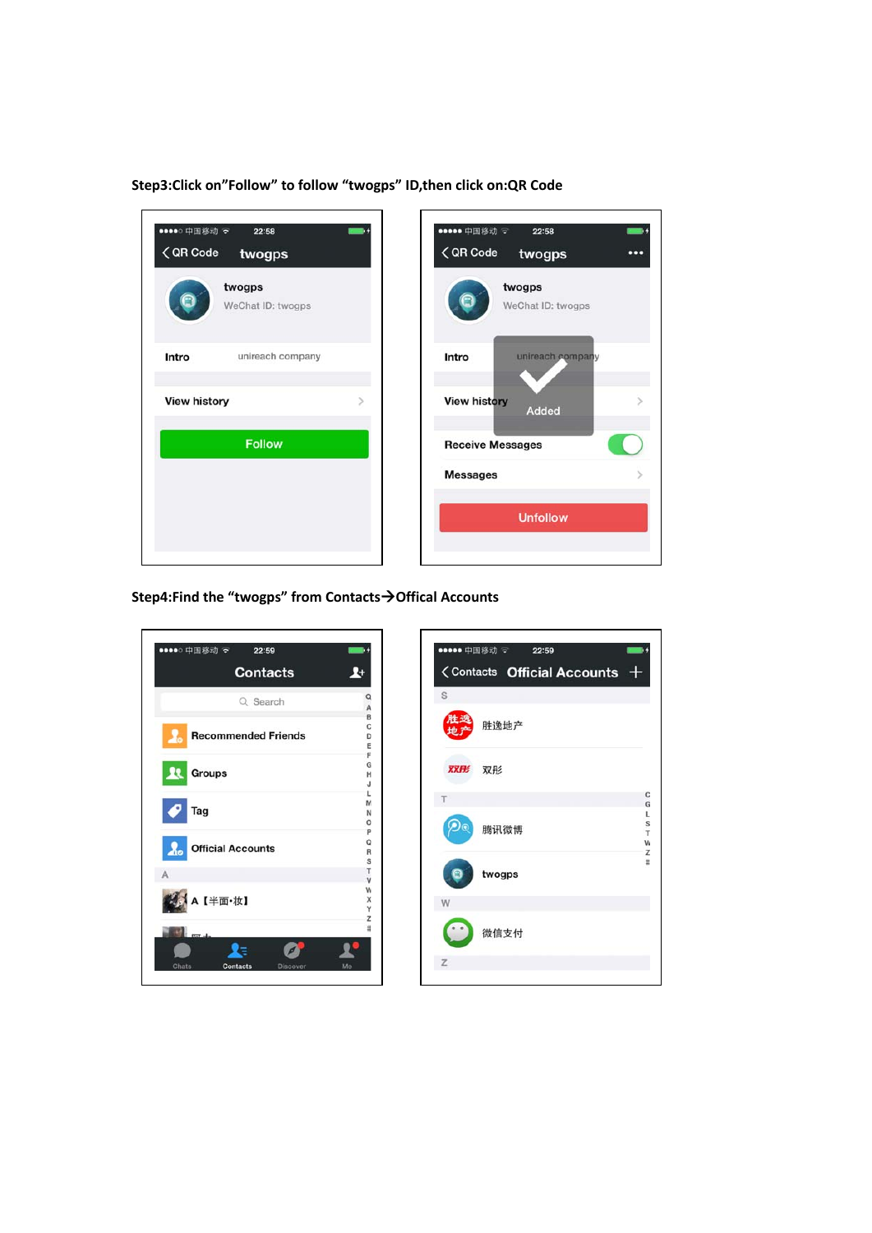**Step3:Click on"Follow" to follow "twogps" ID,then click on:QR Code**



**Step4:Find the "twogps" from Contacts→Offical Accounts** 

| ●●●●○ 中国移动 〒<br>22:59<br><b>Contacts</b> | $\mathbf{r}$           | ●●●●● 中国移动 →<br>22:59<br><contacts +<="" accounts="" official="" th=""></contacts> |
|------------------------------------------|------------------------|------------------------------------------------------------------------------------|
| Q Search                                 | $\alpha$<br>A          | S                                                                                  |
| <b>Recommended Friends</b><br>47         | B<br>C<br>D<br>E       | 胜逸地产                                                                               |
| 23.<br><b>Groups</b>                     | F<br>G<br>н<br>J       | 双形<br>双形                                                                           |
| Tag                                      | L<br>M<br>N<br>$\circ$ |                                                                                    |
| <b>Official Accounts</b><br>$\lambda$    | p<br>o<br>R<br>s       | 腾讯微博<br>W                                                                          |
| Α                                        | т<br>v                 | twogps                                                                             |
| A 【半面·妆】                                 | W<br>X<br>Υ<br>z       | W                                                                                  |
|                                          | $\sharp$               | 微信支付                                                                               |
| Chats<br>Contacts<br>Discover            | Me                     | z                                                                                  |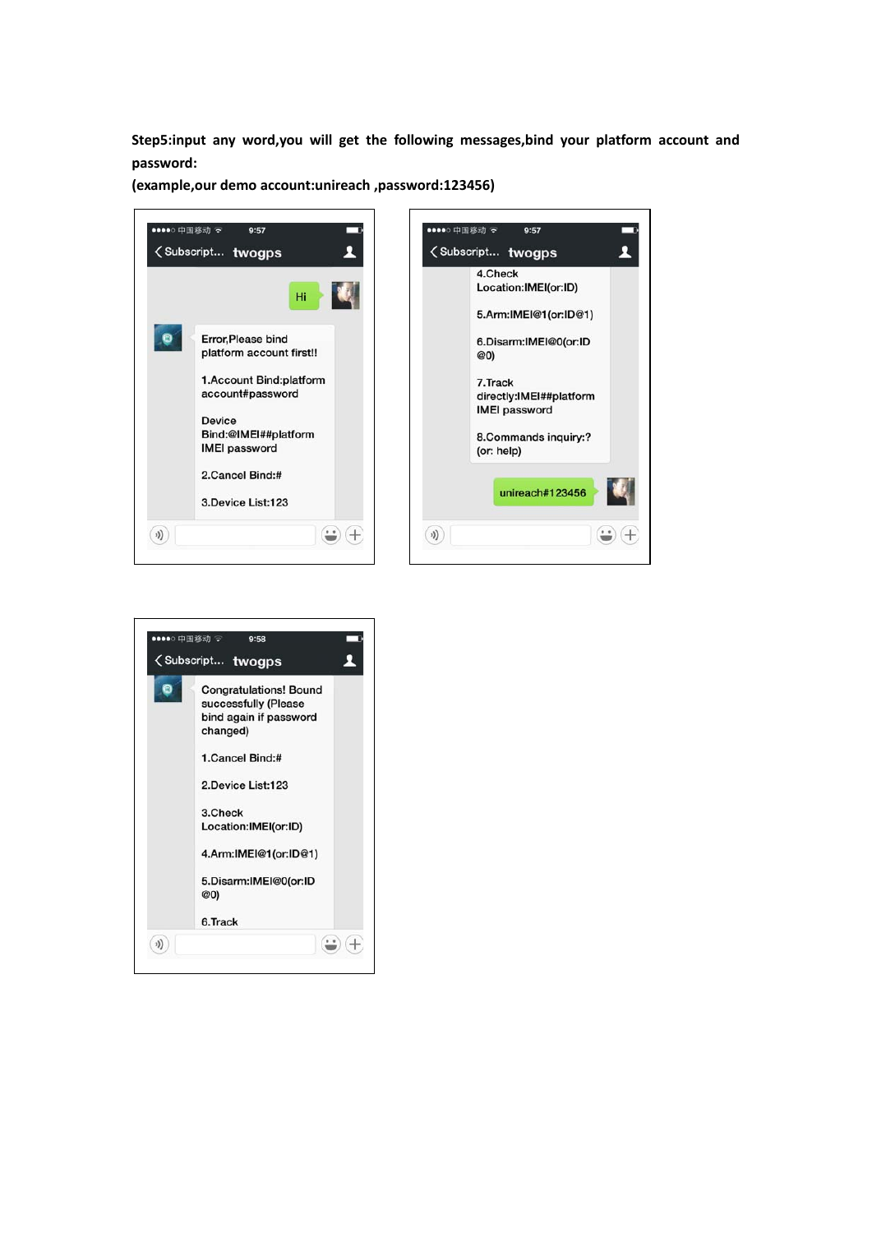**Step5:input any word,you will get the following messages,bind your platform account and password:**

**(example,our demo account:unireach ,password:123456)**



| <subscript th="" twogps<=""></subscript>                                                    |
|---------------------------------------------------------------------------------------------|
| <b>Congratulations! Bound</b><br>successfully (Please<br>bind again if password<br>changed) |
| 1.Cancel Bind:#                                                                             |
| 2.Device List:123                                                                           |
| 3.Check<br>Location:IMEI(or:ID)                                                             |
| 4.Arm:IMEI@1(or:ID@1)                                                                       |
| 5.Disarm:IMEI@0(or:ID<br>@0)                                                                |
| 6.Track                                                                                     |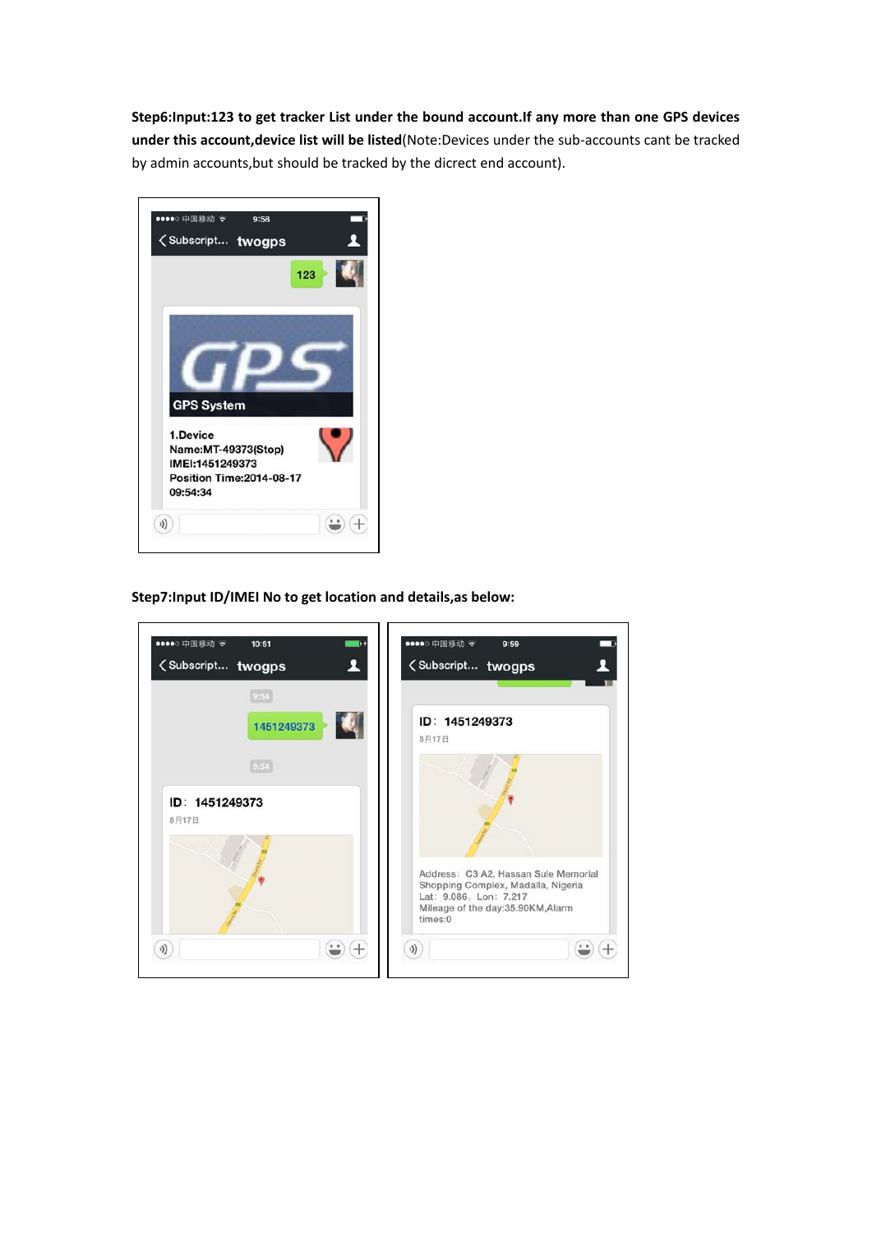**Step6:Input:123 to get tracker List under the bound account.If any more than one GPS devices under this account,device list will be listed**(Note:Devices under the sub‐accounts cant be tracked by admin accounts,but should be tracked by the dicrect end account).



**Step7:Input ID/IMEI No to get location and details,as below:**

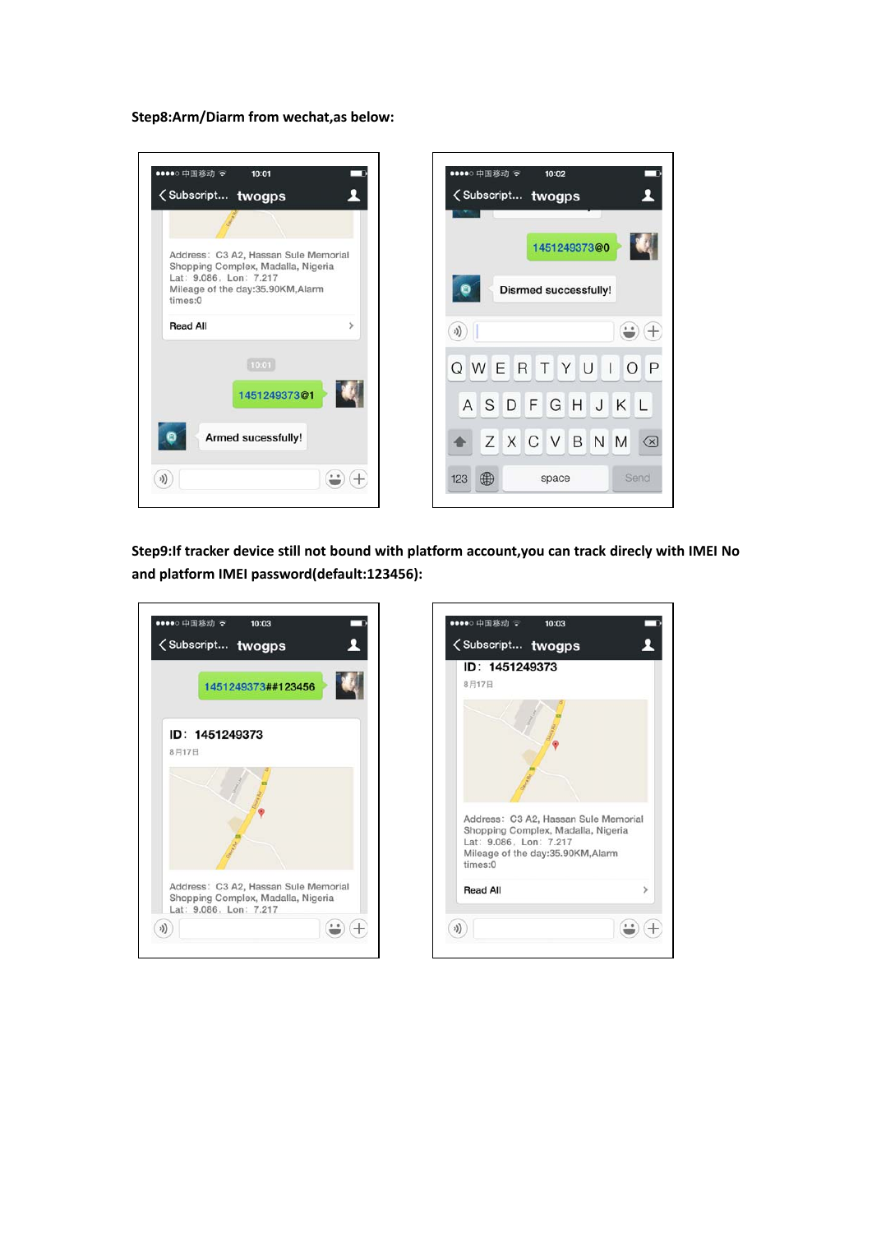**Step8:Arm/Diarm from wechat,as below:**

| ●●●●○ 中国移动 マ<br>10:01<br><subscript th="" twogps<=""><th></th><th>●●●●○ 中国移动 マ<br/><b><subscript b="" twogps<=""></subscript></b></th><th>10:02</th></subscript> |   | ●●●●○ 中国移动 マ<br><b><subscript b="" twogps<=""></subscript></b> | 10:02                        |
|------------------------------------------------------------------------------------------------------------------------------------------------------------------|---|----------------------------------------------------------------|------------------------------|
|                                                                                                                                                                  |   |                                                                |                              |
| Address: C3 A2, Hassan Sule Memorial<br>Shopping Complex, Madalla, Nigeria                                                                                       |   |                                                                | 1451249373@0                 |
| Lat: 9.086. Lon: 7.217<br>Mileage of the day:35.90KM,Alarm<br>times:0                                                                                            |   |                                                                | <b>Disrmed successfully!</b> |
| <b>Read All</b>                                                                                                                                                  | > | 小)                                                             | . 0                          |
| 10:01                                                                                                                                                            |   | WER<br>Q<br>$T_{\perp}$                                        | YU<br>L                      |
| 1451249373@1                                                                                                                                                     |   | A S D                                                          | FGH<br>JKL                   |
| Armed sucessfully!                                                                                                                                               |   | Z<br>X C V                                                     | B<br>N M                     |
|                                                                                                                                                                  |   |                                                                |                              |

**Step9:If tracker device still not bound with platform account,you can track direcly with IMEI No and platform IMEI password(default:123456):**

|       | 1451249373##123456                                                         |  |
|-------|----------------------------------------------------------------------------|--|
|       | ID: 1451249373                                                             |  |
| 8月17日 |                                                                            |  |
|       |                                                                            |  |
|       | Address: C3 A2, Hassan Sule Memorial<br>Shopping Complex, Madalla, Nigeria |  |